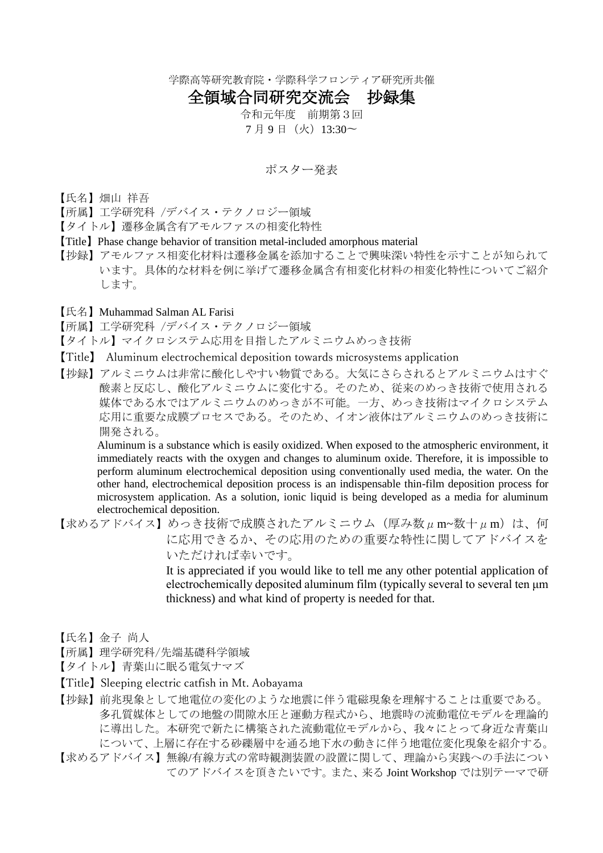学際高等研究教育院・学際科学フロンティア研究所共催

## 全領域合同研究交流会 抄録集

令和元年度 前期第3回 7 月 9 日 (火) 13:30~

## ポスター発表

- 【氏名】畑山 祥吾
- 【所属】工学研究科 /デバイス・テクノロジー領域
- 【タイトル】遷移金属含有アモルファスの相変化特性
- 【Title】Phase change behavior of transition metal-included amorphous material
- 【抄録】アモルファス相変化材料は遷移金属を添加することで興味深い特性を示すことが知られて います。具体的な材料を例に挙げて遷移金属含有相変化材料の相変化特性についてご紹介 します。
- 【氏名】Muhammad Salman AL Farisi
- 【所属】工学研究科 /デバイス・テクノロジー領域
- 【タイトル】マイクロシステム応用を目指したアルミニウムめっき技術
- 【Title】 Aluminum electrochemical deposition towards microsystems application
- 【抄録】アルミニウムは非常に酸化しやすい物質である。大気にさらされるとアルミニウムはすぐ 酸素と反応し、酸化アルミニウムに変化する。そのため、従来のめっき技術で使用される 媒体である水ではアルミニウムのめっきが不可能。一方、めっき技術はマイクロシステム 応用に重要な成膜プロセスである。そのため、イオン液体はアルミニウムのめっき技術に 開発される。

Aluminum is a substance which is easily oxidized. When exposed to the atmospheric environment, it immediately reacts with the oxygen and changes to aluminum oxide. Therefore, it is impossible to perform aluminum electrochemical deposition using conventionally used media, the water. On the other hand, electrochemical deposition process is an indispensable thin-film deposition process for microsystem application. As a solution, ionic liquid is being developed as a media for aluminum electrochemical deposition.

【求めるアドバイス】めっき技術で成膜されたアルミニウム (厚み数μm~数十μm)は、何 に応用できるか、その応用のための重要な特性に関してアドバイスを いただければ幸いです。

It is appreciated if you would like to tell me any other potential application of electrochemically deposited aluminum film (typically several to several ten μm thickness) and what kind of property is needed for that.

- 【氏名】金子 尚人
- 【所属】理学研究科/先端基礎科学領域
- 【タイトル】青葉山に眠る電気ナマズ
- 【Title】Sleeping electric catfish in Mt. Aobayama
- 【抄録】前兆現象として地電位の変化のような地震に伴う電磁現象を理解することは重要である。 多孔質媒体としての地盤の間隙水圧と運動方程式から、地震時の流動電位モデルを理論的 に導出した。本研究で新たに構築された流動電位モデルから、我々にとって身近な青葉山 について、上層に存在する砂礫層中を通る地下水の動きに伴う地電位変化現象を紹介する。
- 【求めるアドバイス】無線/有線方式の常時観測装置の設置に関して、理論から実践への手法につい てのアドバイスを頂きたいです。また、来る Joint Workshop では別テーマで研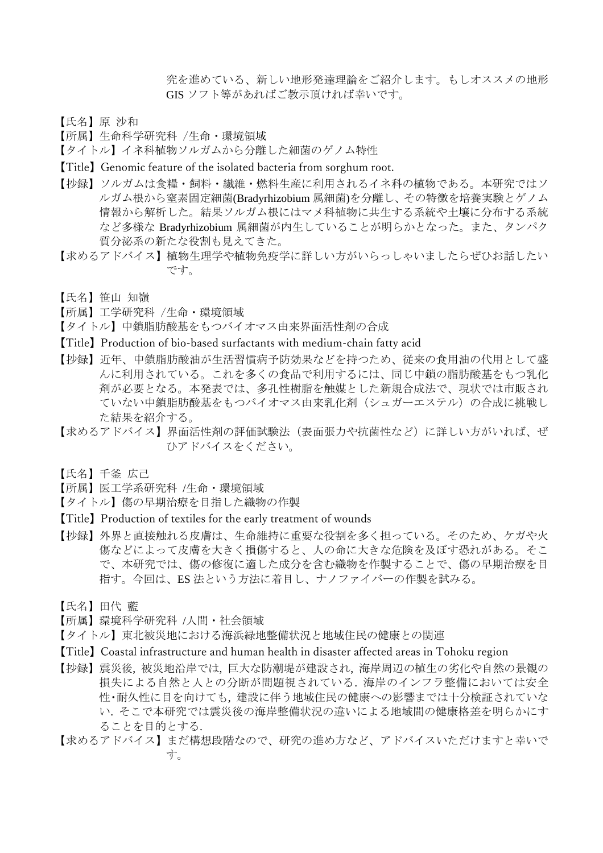究を進めている、新しい地形発達理論をご紹介します。もしオススメの地形 GIS ソフト等があればご教示頂ければ幸いです。

【氏名】原 沙和

【所属】生命科学研究科 /生命・環境領域

【タイトル】イネ科植物ソルガムから分離した細菌のゲノム特性

- 【Title】Genomic feature of the isolated bacteria from sorghum root.
- 【抄録】ソルガムは食糧・飼料・繊維・燃料生産に利用されるイネ科の植物である。本研究ではソ ルガム根から窒素固定細菌(Bradyrhizobium 属細菌)を分離し、その特徴を培養実験とゲノム 情報から解析した。結果ソルガム根にはマメ科植物に共生する系統や土壌に分布する系統 など多様な Bradyrhizobium 属細菌が内生していることが明らかとなった。また、タンパク 質分泌系の新たな役割も見えてきた。
- 【求めるアドバイス】植物生理学や植物免疫学に詳しい方がいらっしゃいましたらぜひお話したい です。
- 【氏名】笹山 知嶺
- 【所属】工学研究科 /生命・環境領域
- 【タイトル】中鎖脂肪酸基をもつバイオマス由来界面活性剤の合成
- 【Title】Production of bio-based surfactants with medium-chain fatty acid
- 【抄録】近年、中鎖脂肪酸油が生活習慣病予防効果などを持つため、従来の食用油の代用として盛 んに利用されている。これを多くの食品で利用するには、同じ中鎖の脂肪酸基をもつ乳化 剤が必要となる。本発表では、多孔性樹脂を触媒とした新規合成法で、現状では市販され ていない中鎖脂肪酸基をもつバイオマス由来乳化剤(シュガーエステル)の合成に挑戦し た結果を紹介する。
- 【求めるアドバイス】界面活性剤の評価試験法(表面張力や抗菌性など)に詳しい方がいれば、ぜ ひアドバイスをください。
- 【氏名】千釜 広己
- 【所属】医工学系研究科 /生命・環境領域
- 【タイトル】傷の早期治療を目指した織物の作製
- 【Title】Production of textiles for the early treatment of wounds
- 【抄録】外界と直接触れる皮膚は、生命維持に重要な役割を多く担っている。そのため、ケガや火 傷などによって皮膚を大きく損傷すると、人の命に大きな危険を及ぼす恐れがある。そこ で、本研究では、傷の修復に適した成分を含む織物を作製することで、傷の早期治療を目 指す。今回は、ES 法という方法に着目し、ナノファイバーの作製を試みる。
- 【氏名】田代 藍
- 【所属】環境科学研究科 /人間・社会領域
- 【タイトル】東北被災地における海浜緑地整備状況と地域住民の健康との関連
- 【Title】Coastal infrastructure and human health in disaster affected areas in Tohoku region
- 【抄録】震災後, 被災地沿岸では, 巨大な防潮堤が建設され, 海岸周辺の植生の劣化や自然の景観の 損失による自然と人との分断が問題視されている. 海岸のインフラ整備においては安全 性・耐久性に目を向けても, 建設に伴う地域住民の健康への影響までは十分検証されていな い. そこで本研究では震災後の海岸整備状況の違いによる地域間の健康格差を明らかにす ることを目的とする.
- 【求めるアドバイス】まだ構想段階なので、研究の進め方など、アドバイスいただけますと幸いで す。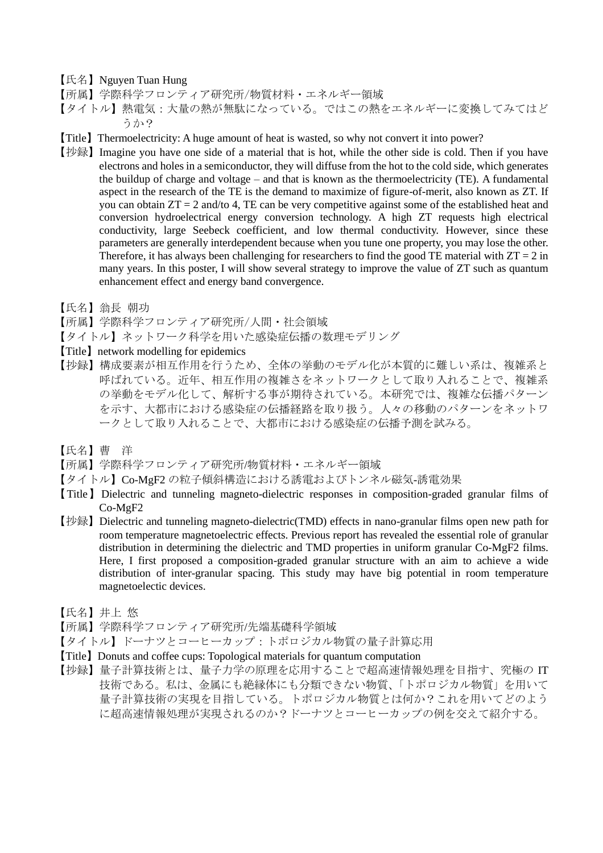【氏名】Nguyen Tuan Hung

- 【所属】学際科学フロンティア研究所/物質材料・エネルギー領域
- 【タイトル】熱電気:大量の熱が無駄になっている。ではこの熱をエネルギーに変換してみてはど うか?
- 【Title】Thermoelectricity: A huge amount of heat is wasted, so why not convert it into power?
- 【抄録】Imagine you have one side of a material that is hot, while the other side is cold. Then if you have electrons and holes in a semiconductor, they will diffuse from the hot to the cold side, which generates the buildup of charge and voltage – and that is known as the thermoelectricity (TE). A fundamental aspect in the research of the TE is the demand to maximize of figure-of-merit, also known as ZT. If you can obtain  $ZT = 2$  and/to 4, TE can be very competitive against some of the established heat and conversion hydroelectrical energy conversion technology. A high ZT requests high electrical conductivity, large Seebeck coefficient, and low thermal conductivity. However, since these parameters are generally interdependent because when you tune one property, you may lose the other. Therefore, it has always been challenging for researchers to find the good TE material with  $ZT = 2$  in many years. In this poster, I will show several strategy to improve the value of ZT such as quantum enhancement effect and energy band convergence.
- 【氏名】翁長 朝功
- 【所属】学際科学フロンティア研究所/人間・社会領域
- 【タイトル】ネットワーク科学を用いた感染症伝播の数理モデリング
- 【Title】network modelling for epidemics
- 【抄録】構成要素が相互作用を行うため、全体の挙動のモデル化が本質的に難しい系は、複雑系と 呼ばれている。近年、相互作用の複雑さをネットワークとして取り入れることで、複雑系 の挙動をモデル化して、解析する事が期待されている。本研究では、複雑な伝播パターン を示す、大都市における感染症の伝播経路を取り扱う。人々の移動のパターンをネットワ ークとして取り入れることで、大都市における感染症の伝播予測を試みる。
- 【氏名】曹 洋
- 【所属】学際科学フロンティア研究所/物質材料・エネルギー領域
- 【タイトル】Co-MgF2 の粒子傾斜構造における誘電およびトンネル磁気-誘電効果
- 【Title】Dielectric and tunneling magneto-dielectric responses in composition-graded granular films of Co-MgF2
- 【抄録】Dielectric and tunneling magneto-dielectric(TMD) effects in nano-granular films open new path for room temperature magnetoelectric effects. Previous report has revealed the essential role of granular distribution in determining the dielectric and TMD properties in uniform granular Co-MgF2 films. Here, I first proposed a composition-graded granular structure with an aim to achieve a wide distribution of inter-granular spacing. This study may have big potential in room temperature magnetoelectic devices.
- 【氏名】井上 悠
- 【所属】学際科学フロンティア研究所/先端基礎科学領域
- 【タイトル】ドーナツとコーヒーカップ:トポロジカル物質の量子計算応用
- 【Title】Donuts and coffee cups: Topological materials for quantum computation
- 【抄録】量子計算技術とは、量子力学の原理を応用することで超高速情報処理を目指す、究極の IT 技術である。私は、金属にも絶縁体にも分類できない物質、「トポロジカル物質」を用いて 量子計算技術の実現を目指している。トポロジカル物質とは何か?これを用いてどのよう に超高速情報処理が実現されるのか?ドーナツとコーヒーカップの例を交えて紹介する。